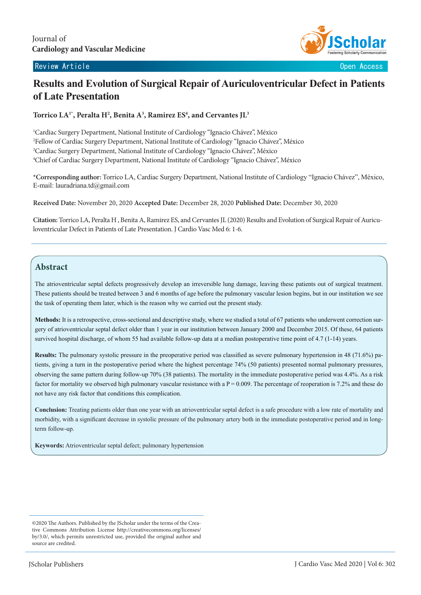#### Review Article **Contract Contract Contract Contract Contract Contract Contract Contract Contract Contract Contract Contract Contract Contract Contract Contract Contract Contract Contract Contract Contract Contract Contract**



# **Results and Evolution of Surgical Repair of Auriculoventricular Defect in Patients of Late Presentation**

Torrico LA<sup>1\*</sup>, Peralta H<sup>2</sup>, Benita A<sup>3</sup>, Ramirez ES<sup>4</sup>, and Cervantes JL<sup>3</sup>

 Cardiac Surgery Department, National Institute of Cardiology "Ignacio Chávez", México Fellow of Cardiac Surgery Department, National Institute of Cardiology "Ignacio Chávez", México Cardiac Surgery Department, National Institute of Cardiology "Ignacio Chávez", México Chief of Cardiac Surgery Department, National Institute of Cardiology "Ignacio Chávez", México

**\*Corresponding author:** Torrico LA, Cardiac Surgery Department, National Institute of Cardiology "Ignacio Chávez", México, E-mail: lauradriana.td@gmail.com

**Received Date:** November 20, 2020 **Accepted Date:** December 28, 2020 **Published Date:** December 30, 2020

**Citation:**Torrico LA, Peralta H , Benita A, Ramirez ES, and Cervantes JL (2020) Results and Evolution of Surgical Repair of Auriculoventricular Defect in Patients of Late Presentation. J Cardio Vasc Med 6: 1-6.

## **Abstract**

The atrioventricular septal defects progressively develop an irreversible lung damage, leaving these patients out of surgical treatment. These patients should be treated between 3 and 6 months of age before the pulmonary vascular lesion begins, but in our institution we see the task of operating them later, which is the reason why we carried out the present study.

**Methods:** It is a retrospective, cross-sectional and descriptive study, where we studied a total of 67 patients who underwent correction surgery of atrioventricular septal defect older than 1 year in our institution between January 2000 and December 2015. Of these, 64 patients survived hospital discharge, of whom 55 had available follow-up data at a median postoperative time point of 4.7 (1-14) years.

**Results:** The pulmonary systolic pressure in the preoperative period was classified as severe pulmonary hypertension in 48 (71.6%) patients, giving a turn in the postoperative period where the highest percentage 74% (50 patients) presented normal pulmonary pressures, observing the same pattern during follow-up 70% (38 patients). The mortality in the immediate postoperative period was 4.4%. As a risk factor for mortality we observed high pulmonary vascular resistance with a  $P = 0.009$ . The percentage of reoperation is 7.2% and these do not have any risk factor that conditions this complication.

**Conclusion:** Treating patients older than one year with an atrioventricular septal defect is a safe procedure with a low rate of mortality and morbidity, with a significant decrease in systolic pressure of the pulmonary artery both in the immediate postoperative period and in longterm follow-up.

**Keywords:** Atrioventricular septal defect; pulmonary hypertension

<sup>©2020</sup> The Authors. Published by the JScholar under the terms of the Creative Commons Attribution License http://creativecommons.org/licenses/ by/3.0/, which permits unrestricted use, provided the original author and source are credited.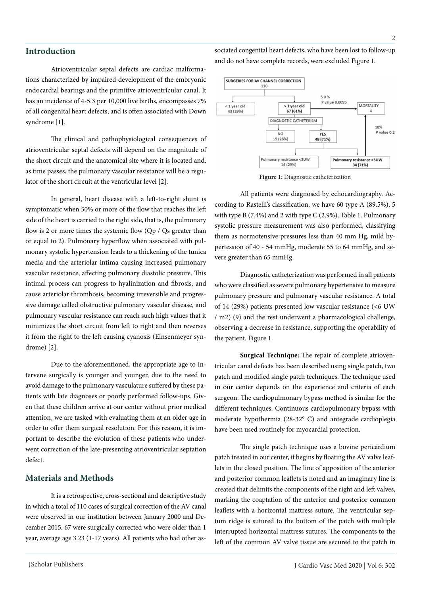Atrioventricular septal defects are cardiac malformations characterized by impaired development of the embryonic endocardial bearings and the primitive atrioventricular canal. It has an incidence of 4-5.3 per 10,000 live births, encompasses 7% of all congenital heart defects, and is often associated with Down syndrome [1].

The clinical and pathophysiological consequences of atrioventricular septal defects will depend on the magnitude of the short circuit and the anatomical site where it is located and, as time passes, the pulmonary vascular resistance will be a regulator of the short circuit at the ventricular level [2].

In general, heart disease with a left-to-right shunt is symptomatic when 50% or more of the flow that reaches the left side of the heart is carried to the right side, that is, the pulmonary flow is 2 or more times the systemic flow (Qp / Qs greater than or equal to 2). Pulmonary hyperflow when associated with pulmonary systolic hypertension leads to a thickening of the tunica media and the arteriolar intima causing increased pulmonary vascular resistance, affecting pulmonary diastolic pressure. This intimal process can progress to hyalinization and fibrosis, and cause arteriolar thrombosis, becoming irreversible and progressive damage called obstructive pulmonary vascular disease, and pulmonary vascular resistance can reach such high values that it minimizes the short circuit from left to right and then reverses it from the right to the left causing cyanosis (Einsenmeyer syndrome) [2].

Due to the aforementioned, the appropriate age to intervene surgically is younger and younger, due to the need to avoid damage to the pulmonary vasculature suffered by these patients with late diagnoses or poorly performed follow-ups. Given that these children arrive at our center without prior medical attention, we are tasked with evaluating them at an older age in order to offer them surgical resolution. For this reason, it is important to describe the evolution of these patients who underwent correction of the late-presenting atrioventricular septation defect.

#### **Materials and Methods**

It is a retrospective, cross-sectional and descriptive study in which a total of 110 cases of surgical correction of the AV canal were observed in our institution between January 2000 and December 2015. 67 were surgically corrected who were older than 1 year, average age 3.23 (1-17 years). All patients who had other as-

sociated congenital heart defects, who have been lost to follow-up and do not have complete records, were excluded Figure 1.



**Figure 1:** Diagnostic catheterization

All patients were diagnosed by echocardiography. According to Rastelli's classification, we have 60 type A (89.5%), 5 with type B (7.4%) and 2 with type C (2.9%). Table 1. Pulmonary systolic pressure measurement was also performed, classifying them as normotensive pressures less than 40 mm Hg, mild hypertession of 40 - 54 mmHg, moderate 55 to 64 mmHg, and severe greater than 65 mmHg.

Diagnostic catheterization was performed in all patients who were classified as severe pulmonary hypertensive to measure pulmonary pressure and pulmonary vascular resistance. A total of 14 (29%) patients presented low vascular resistance (<6 UW / m2) (9) and the rest underwent a pharmacological challenge, observing a decrease in resistance, supporting the operability of the patient. Figure 1.

**Surgical Technique:** The repair of complete atrioventricular canal defects has been described using single patch, two patch and modified single patch techniques. The technique used in our center depends on the experience and criteria of each surgeon. The cardiopulmonary bypass method is similar for the different techniques. Continuous cardiopulmonary bypass with moderate hypothermia (28-32° C) and antegrade cardioplegia have been used routinely for myocardial protection.

The single patch technique uses a bovine pericardium patch treated in our center, it begins by floating the AV valve leaflets in the closed position. The line of apposition of the anterior and posterior common leaflets is noted and an imaginary line is created that delimits the components of the right and left valves, marking the coaptation of the anterior and posterior common leaflets with a horizontal mattress suture. The ventricular septum ridge is sutured to the bottom of the patch with multiple interrupted horizontal mattress sutures. The components to the left of the common AV valve tissue are secured to the patch in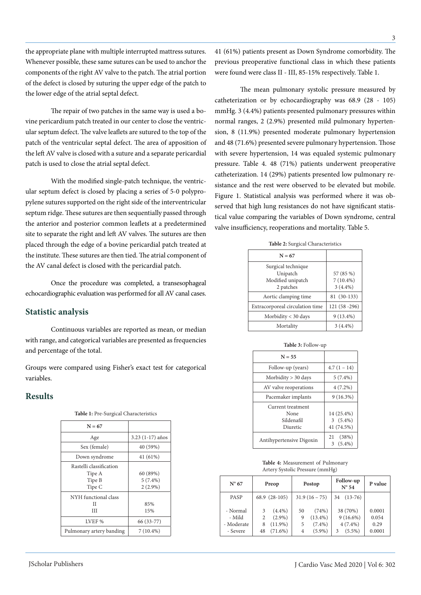the appropriate plane with multiple interrupted mattress sutures. Whenever possible, these same sutures can be used to anchor the components of the right AV valve to the patch. The atrial portion of the defect is closed by suturing the upper edge of the patch to the lower edge of the atrial septal defect. The mean pulmonary systolic pressure measured by

The repair of two patches in the same way is used a bovine pericardium patch treated in our center to close the ventricular septum defect. The valve leaflets are sutured to the top of the patch of the ventricular septal defect. The area of apposition of the left AV valve is closed with a suture and a separate pericardial patch is used to close the atrial septal defect.

With the modified single-patch technique, the ventricular septum defect is closed by placing a series of 5-0 polypropylene sutures supported on the right side of the interventricular septum ridge. These sutures are then sequentially passed through the anterior and posterior common leaflets at a predetermined site to separate the right and left AV valves. The sutures are then placed through the edge of a bovine pericardial patch treated at the institute. These sutures are then tied. The atrial component of the AV canal defect is closed with the pericardial patch.

Once the procedure was completed, a transesophageal echocardiographic evaluation was performed for all AV canal cases.

#### **Statistic analysis**

Continuous variables are reported as mean, or median with range, and categorical variables are presented as frequencies and percentage of the total.

Groups were compared using Fisher's exact test for categorical variables.

#### **Results**

| $N = 67$                                              |                                      |
|-------------------------------------------------------|--------------------------------------|
| Age                                                   | $3.23(1-17)$ años                    |
| Sex (female)                                          | 40 (59%)                             |
| Down syndrome                                         | 41 (61%)                             |
| Rastelli classification<br>Tipe A<br>Tipe B<br>Tipe C | 60 (89%)<br>$5(7.4\%)$<br>$2(2.9\%)$ |
| NYH functional class<br>Н<br>Ш                        | 85%<br>15%                           |
| LVEF %                                                | 66 (33-77)                           |
| Pulmonary artery banding                              | $7(10.4\%)$                          |

**Table 1:** Pre-Surgical Characteristics

41 (61%) patients present as Down Syndrome comorbidity. The previous preoperative functional class in which these patients were found were class II - III, 85-15% respectively. Table 1.

catheterization or by echocardiography was 68.9 (28 - 105) mmHg. 3 (4.4%) patients presented pulmonary pressures within normal ranges, 2 (2.9%) presented mild pulmonary hypertension, 8 (11.9%) presented moderate pulmonary hypertension and 48 (71.6%) presented severe pulmonary hypertension. Those with severe hypertension, 14 was equaled systemic pulmonary pressure. Table 4. 48 (71%) patients underwent preoperative catheterization. 14 (29%) patients presented low pulmonary resistance and the rest were observed to be elevated but mobile. Figure 1. Statistical analysis was performed where it was observed that high lung resistances do not have significant statistical value comparing the variables of Down syndrome, central valve insufficiency, reoperations and mortality. Table 5.

| Table 2: Surgical Characteristics                                |                                        |  |  |  |
|------------------------------------------------------------------|----------------------------------------|--|--|--|
| $N = 67$                                                         |                                        |  |  |  |
| Surgical technique<br>Unipatch<br>Modified unipatch<br>2 patches | 57 (85 %)<br>$7(10.4\%)$<br>$3(4.4\%)$ |  |  |  |
| Aortic clamping time                                             | 81 (30-133)                            |  |  |  |
| Extracorporeal circulation time                                  | 121 (58 - 296)                         |  |  |  |
| Morbidity $<$ 30 days                                            | $9(13.4\%)$                            |  |  |  |
| Mortality                                                        | $3(4.4\%)$                             |  |  |  |
|                                                                  |                                        |  |  |  |

| Morbidity < 30 days                                 | $9(13.4\%)$                            |  |  |  |  |
|-----------------------------------------------------|----------------------------------------|--|--|--|--|
| Mortality                                           | $3(4.4\%)$                             |  |  |  |  |
|                                                     |                                        |  |  |  |  |
| <b>Table 3: Follow-up</b>                           |                                        |  |  |  |  |
| $N = 55$                                            |                                        |  |  |  |  |
| Follow-up (years)                                   | $4.7(1 - 14)$                          |  |  |  |  |
| Morbidity > 30 days                                 | $5(7.4\%)$                             |  |  |  |  |
| AV valve reoperations                               | $4(7.2\%)$                             |  |  |  |  |
| Pacemaker implants                                  | $9(16.3\%)$                            |  |  |  |  |
| Current treatment<br>None<br>Sildenafil<br>Diuretic | 14 (25.4%)<br>$3(5.4\%)$<br>41 (74.5%) |  |  |  |  |
|                                                     | (38%)<br>21                            |  |  |  |  |

Antihypertensive Digoxin 3 (5.4%)

| Table 4: Measurement of Pulmonary |
|-----------------------------------|
| Artery Systolic Pressure (mmHg)   |

| $N^{\circ}$ 67 |    | Preop         |    | Postop        |    | Follow-up<br>$N^{\circ} 54$ | P value |
|----------------|----|---------------|----|---------------|----|-----------------------------|---------|
| <b>PASP</b>    |    | 68.9 (28-105) |    | $31.9(16-75)$ | 34 | $(13-76)$                   |         |
| - Normal       | 3  | $(4.4\%)$     | 50 | (74%)         |    | 38 (70%)                    | 0.0001  |
| - Mild         | 2  | $(2.9\%)$     | 9  | $(13.4\%)$    |    | $9(16.6\%)$                 | 0.054   |
| - Moderate     | 8  | $(11.9\%)$    | 5  | $(7.4\%)$     |    | $4(7.4\%)$                  | 0.29    |
| - Severe       | 48 | $(71.6\%)$    | 4  | $(5.9\%)$     | 3  | $(5.5\%)$                   | 0.0001  |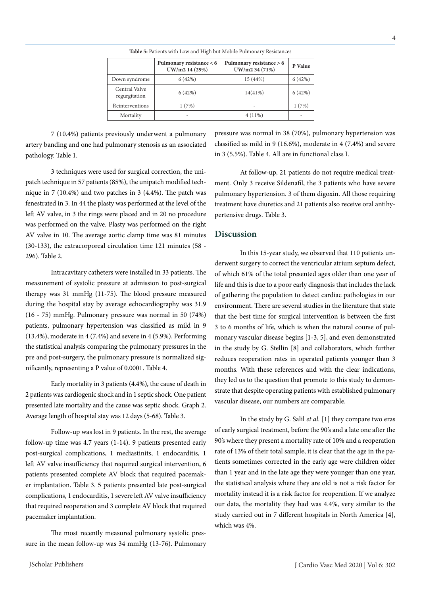|                                | Pulmonary resistance < 6<br>UW/m2 14 (29%) | Pulmonary resistance > 6<br>UW/m2 34 (71%) | P Value |
|--------------------------------|--------------------------------------------|--------------------------------------------|---------|
| Down syndrome                  | 6(42%)                                     | 15 (44%)                                   | 6(42%)  |
| Central Valve<br>regurgitation | 6(42%)                                     | $14(41\%)$                                 | 6(42%)  |
| Reinterventions                | 1(7%)                                      | ٠                                          | 1(7%)   |
| Mortality                      |                                            | $4(11\%)$                                  |         |

**Table 5:** Patients with Low and High but Mobile Pulmonary Resistances

7 (10.4%) patients previously underwent a pulmonary artery banding and one had pulmonary stenosis as an associated pathology. Table 1.

3 techniques were used for surgical correction, the unipatch technique in 57 patients (85%), the unipatch modified technique in 7 (10.4%) and two patches in 3 (4.4%). The patch was fenestrated in 3. In 44 the plasty was performed at the level of the left AV valve, in 3 the rings were placed and in 20 no procedure was performed on the valve. Plasty was performed on the right AV valve in 10. The average aortic clamp time was 81 minutes (30-133), the extracorporeal circulation time 121 minutes (58 - 296). Table 2.

Intracavitary catheters were installed in 33 patients. The measurement of systolic pressure at admission to post-surgical therapy was 31 mmHg (11-75). The blood pressure measured during the hospital stay by average echocardiography was 31.9 (16 - 75) mmHg. Pulmonary pressure was normal in 50 (74%) patients, pulmonary hypertension was classified as mild in 9 (13.4%), moderate in 4 (7.4%) and severe in 4 (5.9%). Performing the statistical analysis comparing the pulmonary pressures in the pre and post-surgery, the pulmonary pressure is normalized significantly, representing a P value of 0.0001. Table 4.

Early mortality in 3 patients (4.4%), the cause of death in 2 patients was cardiogenic shock and in 1 septic shock. One patient presented late mortality and the cause was septic shock. Graph 2. Average length of hospital stay was 12 days (5-68). Table 3.

Follow-up was lost in 9 patients. In the rest, the average follow-up time was 4.7 years (1-14). 9 patients presented early post-surgical complications, 1 mediastinits, 1 endocarditis, 1 left AV valve insufficiency that required surgical intervention, 6 patients presented complete AV block that required pacemaker implantation. Table 3. 5 patients presented late post-surgical complications, 1 endocarditis, 1 severe left AV valve insufficiency that required reoperation and 3 complete AV block that required pacemaker implantation.

The most recently measured pulmonary systolic pressure in the mean follow-up was 34 mmHg (13-76). Pulmonary pressure was normal in 38 (70%), pulmonary hypertension was classified as mild in 9 (16.6%), moderate in 4 (7.4%) and severe in 3 (5.5%). Table 4. All are in functional class I.

At follow-up, 21 patients do not require medical treatment. Only 3 receive Sildenafil, the 3 patients who have severe pulmonary hypertension. 3 of them digoxin. All those requiring treatment have diuretics and 21 patients also receive oral antihypertensive drugs. Table 3.

#### **Discussion**

In this 15-year study, we observed that 110 patients underwent surgery to correct the ventricular atrium septum defect, of which 61% of the total presented ages older than one year of life and this is due to a poor early diagnosis that includes the lack of gathering the population to detect cardiac pathologies in our environment. There are several studies in the literature that state that the best time for surgical intervention is between the first 3 to 6 months of life, which is when the natural course of pulmonary vascular disease begins [1-3, 5], and even demonstrated in the study by G. Stellin [8] and collaborators, which further reduces reoperation rates in operated patients younger than 3 months. With these references and with the clear indications, they led us to the question that promote to this study to demonstrate that despite operating patients with established pulmonary vascular disease, our numbers are comparable.

In the study by G. Salil *et al.* [1] they compare two eras of early surgical treatment, before the 90's and a late one after the 90's where they present a mortality rate of 10% and a reoperation rate of 13% of their total sample, it is clear that the age in the patients sometimes corrected in the early age were children older than 1 year and in the late age they were younger than one year, the statistical analysis where they are old is not a risk factor for mortality instead it is a risk factor for reoperation. If we analyze our data, the mortality they had was 4.4%, very similar to the study carried out in 7 different hospitals in North America [4], which was 4%.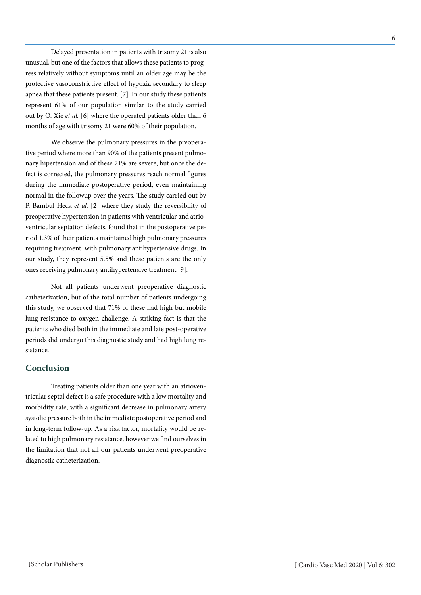Delayed presentation in patients with trisomy 21 is also unusual, but one of the factors that allows these patients to progress relatively without symptoms until an older age may be the protective vasoconstrictive effect of hypoxia secondary to sleep apnea that these patients present. [7]. In our study these patients represent 61% of our population similar to the study carried out by O. Xie *et al.* [6] where the operated patients older than 6 months of age with trisomy 21 were 60% of their population.

We observe the pulmonary pressures in the preoperative period where more than 90% of the patients present pulmonary hipertension and of these 71% are severe, but once the defect is corrected, the pulmonary pressures reach normal figures during the immediate postoperative period, even maintaining normal in the followup over the years. The study carried out by P. Bambul Heck *et al.* [2] where they study the reversibility of preoperative hypertension in patients with ventricular and atrioventricular septation defects, found that in the postoperative period 1.3% of their patients maintained high pulmonary pressures requiring treatment. with pulmonary antihypertensive drugs. In our study, they represent 5.5% and these patients are the only ones receiving pulmonary antihypertensive treatment [9].

Not all patients underwent preoperative diagnostic catheterization, but of the total number of patients undergoing this study, we observed that 71% of these had high but mobile lung resistance to oxygen challenge. A striking fact is that the patients who died both in the immediate and late post-operative periods did undergo this diagnostic study and had high lung resistance.

## **Conclusion**

Treating patients older than one year with an atrioventricular septal defect is a safe procedure with a low mortality and morbidity rate, with a significant decrease in pulmonary artery systolic pressure both in the immediate postoperative period and in long-term follow-up. As a risk factor, mortality would be related to high pulmonary resistance, however we find ourselves in the limitation that not all our patients underwent preoperative diagnostic catheterization.